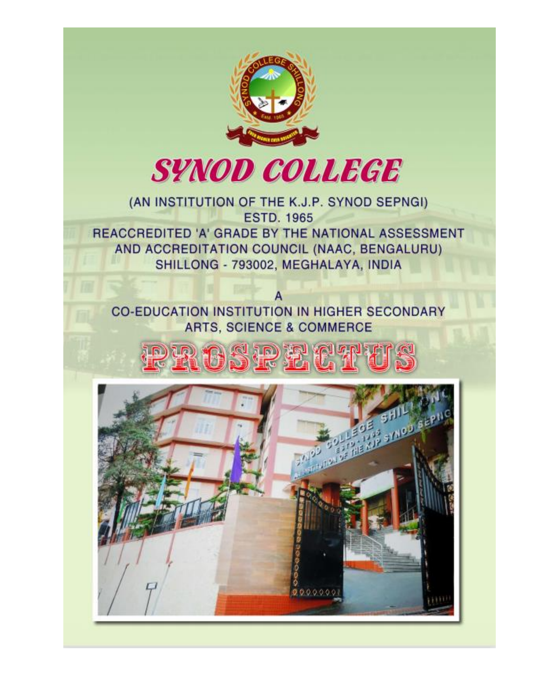

# **SYNOD COLLEGE**

## (AN INSTITUTION OF THE K.J.P. SYNOD SEPNGI) **ESTD. 1965** REACCREDITED 'A' GRADE BY THE NATIONAL ASSESSMENT AND ACCREDITATION COUNCIL (NAAC, BENGALURU) SHILLONG - 793002, MEGHALAYA, INDIA

A **CO-EDUCATION INSTITUTION IN HIGHER SECONDARY ARTS, SCIENCE & COMMERCE** 



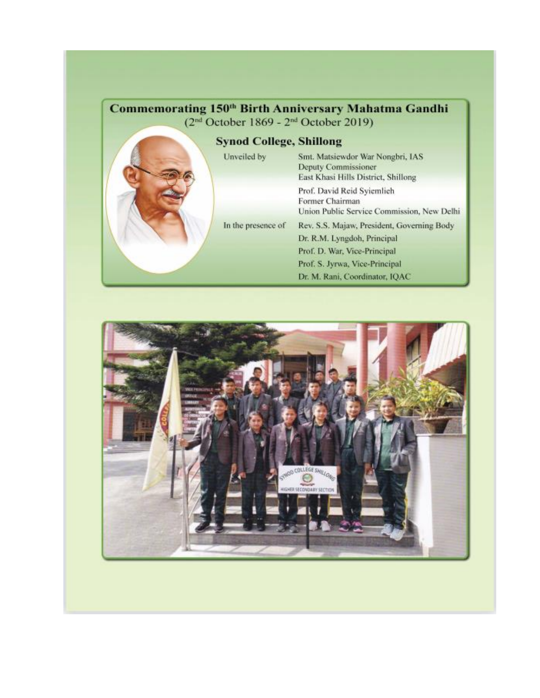# **Commemorating 150<sup>th</sup> Birth Anniversary Mahatma Gandhi**<br>( $2^{nd}$  October 1869 -  $2^{nd}$  October 2019)

## **Synod College, Shillong**

| Unveiled by        | Smt. Matsiewdor War Nongbri, IAS<br><b>Deputy Commissioner</b><br>East Khasi Hills District, Shillong |
|--------------------|-------------------------------------------------------------------------------------------------------|
|                    | Prof. David Reid Syiemlieh<br>Former Chairman<br>Union Public Service Commission, New Delhi           |
| In the presence of | Rev. S.S. Majaw, President, Governing Body<br>Dr. R.M. Lyngdoh, Principal                             |
|                    | Prof. D. War, Vice-Principal                                                                          |
|                    | Prof. S. Jyrwa, Vice-Principal                                                                        |
|                    | Dr. M. Rani, Coordinator, IOAC                                                                        |

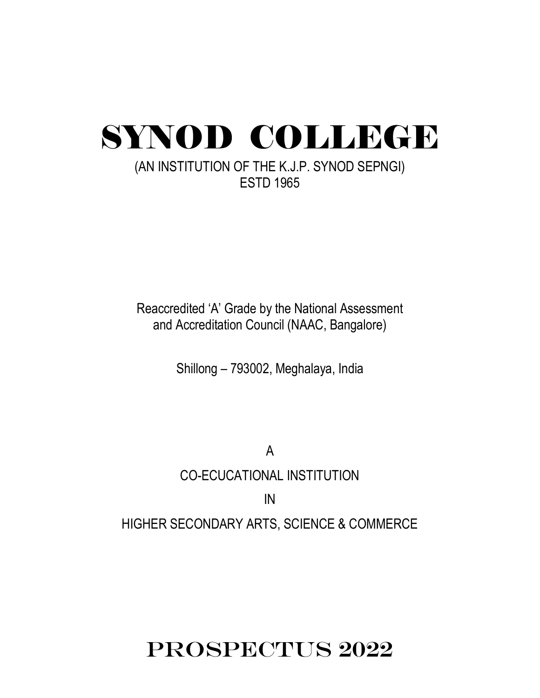# SYNOD COLLEGE (AN INSTITUTION OF THE K.J.P. SYNOD SEPNGI) ESTD 1965

Reaccredited 'A' Grade by the National Assessment and Accreditation Council (NAAC, Bangalore)

Shillong – 793002, Meghalaya, India

A CO-ECUCATIONAL INSTITUTION IN HIGHER SECONDARY ARTS, SCIENCE & COMMERCE

# PROSPECTUS 2022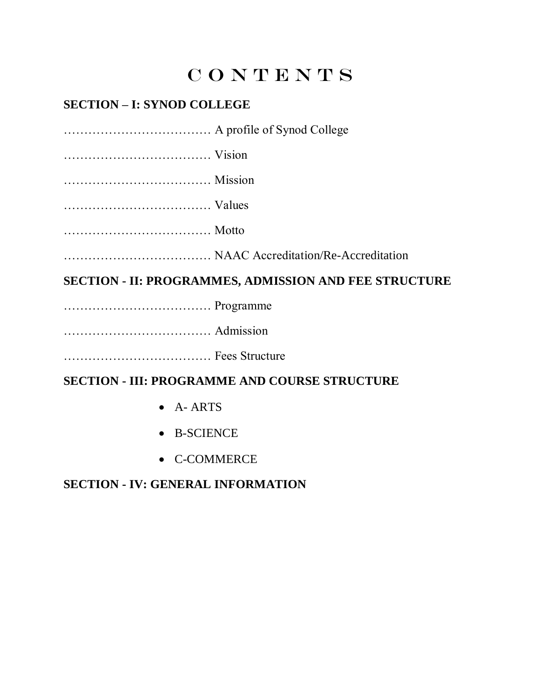## C O N T E N T S

## **SECTION – I: SYNOD COLLEGE**

……………………………… A profile of Synod College ……………………………… Vision ……………………………… Mission ……………………………… Values ……………………………… Motto ……………………………… NAAC Accreditation/Re-Accreditation **SECTION - II: PROGRAMMES, ADMISSION AND FEE STRUCTURE**  ……………………………… Programme ……………………………… Admission ……………………………… Fees Structure

## **SECTION - III: PROGRAMME AND COURSE STRUCTURE**

- A- ARTS
- B-SCIENCE
- C-COMMERCE

## **SECTION - IV: GENERAL INFORMATION**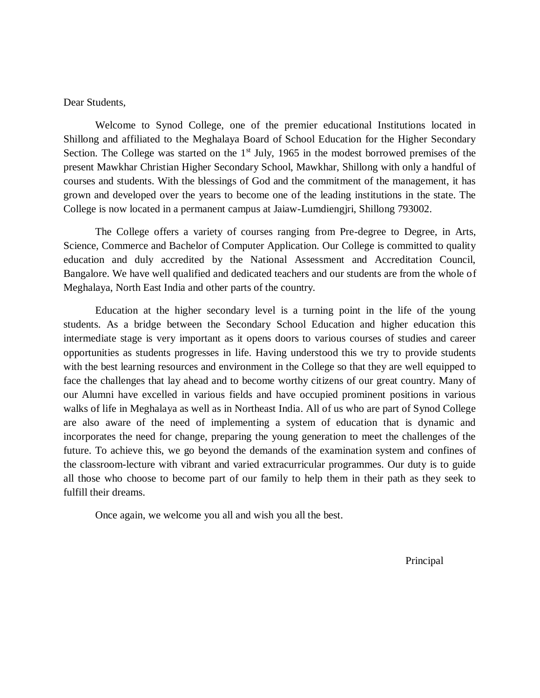Dear Students,

Welcome to Synod College, one of the premier educational Institutions located in Shillong and affiliated to the Meghalaya Board of School Education for the Higher Secondary Section. The College was started on the  $1<sup>st</sup>$  July, 1965 in the modest borrowed premises of the present Mawkhar Christian Higher Secondary School, Mawkhar, Shillong with only a handful of courses and students. With the blessings of God and the commitment of the management, it has grown and developed over the years to become one of the leading institutions in the state. The College is now located in a permanent campus at Jaiaw-Lumdiengjri, Shillong 793002.

The College offers a variety of courses ranging from Pre-degree to Degree, in Arts, Science, Commerce and Bachelor of Computer Application. Our College is committed to quality education and duly accredited by the National Assessment and Accreditation Council, Bangalore. We have well qualified and dedicated teachers and our students are from the whole of Meghalaya, North East India and other parts of the country.

Education at the higher secondary level is a turning point in the life of the young students. As a bridge between the Secondary School Education and higher education this intermediate stage is very important as it opens doors to various courses of studies and career opportunities as students progresses in life. Having understood this we try to provide students with the best learning resources and environment in the College so that they are well equipped to face the challenges that lay ahead and to become worthy citizens of our great country. Many of our Alumni have excelled in various fields and have occupied prominent positions in various walks of life in Meghalaya as well as in Northeast India. All of us who are part of Synod College are also aware of the need of implementing a system of education that is dynamic and incorporates the need for change, preparing the young generation to meet the challenges of the future. To achieve this, we go beyond the demands of the examination system and confines of the classroom-lecture with vibrant and varied extracurricular programmes. Our duty is to guide all those who choose to become part of our family to help them in their path as they seek to fulfill their dreams.

Once again, we welcome you all and wish you all the best.

Principal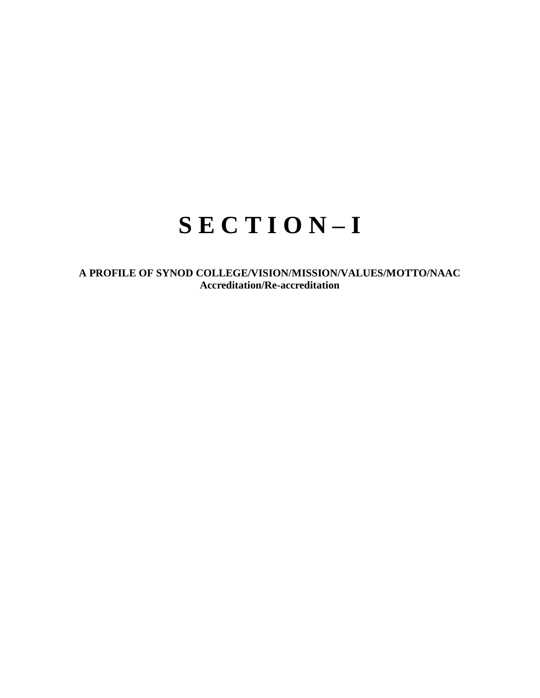# **S E C T I O N – I**

**A PROFILE OF SYNOD COLLEGE/VISION/MISSION/VALUES/MOTTO/NAAC Accreditation/Re-accreditation**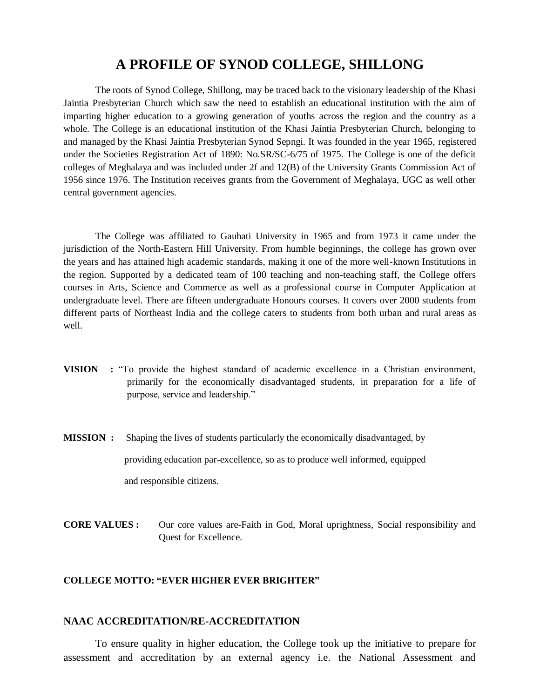## **A PROFILE OF SYNOD COLLEGE, SHILLONG**

The roots of Synod College, Shillong, may be traced back to the visionary leadership of the Khasi Jaintia Presbyterian Church which saw the need to establish an educational institution with the aim of imparting higher education to a growing generation of youths across the region and the country as a whole. The College is an educational institution of the Khasi Jaintia Presbyterian Church, belonging to and managed by the Khasi Jaintia Presbyterian Synod Sepngi. It was founded in the year 1965, registered under the Societies Registration Act of 1890: No.SR/SC-6/75 of 1975. The College is one of the deficit colleges of Meghalaya and was included under 2f and 12(B) of the University Grants Commission Act of 1956 since 1976. The Institution receives grants from the Government of Meghalaya, UGC as well other central government agencies.

The College was affiliated to Gauhati University in 1965 and from 1973 it came under the jurisdiction of the North-Eastern Hill University. From humble beginnings, the college has grown over the years and has attained high academic standards, making it one of the more well-known Institutions in the region. Supported by a dedicated team of 100 teaching and non-teaching staff, the College offers courses in Arts, Science and Commerce as well as a professional course in Computer Application at undergraduate level. There are fifteen undergraduate Honours courses. It covers over 2000 students from different parts of Northeast India and the college caters to students from both urban and rural areas as well.

- **VISION :** "To provide the highest standard of academic excellence in a Christian environment, primarily for the economically disadvantaged students, in preparation for a life of purpose, service and leadership."
- **MISSION :** Shaping the lives of students particularly the economically disadvantaged, by providing education par-excellence, so as to produce well informed, equipped and responsible citizens.
- **CORE VALUES :** Our core values are-Faith in God, Moral uprightness, Social responsibility and Quest for Excellence.

#### **COLLEGE MOTTO: "EVER HIGHER EVER BRIGHTER"**

#### **NAAC ACCREDITATION/RE-ACCREDITATION**

To ensure quality in higher education, the College took up the initiative to prepare for assessment and accreditation by an external agency i.e. the National Assessment and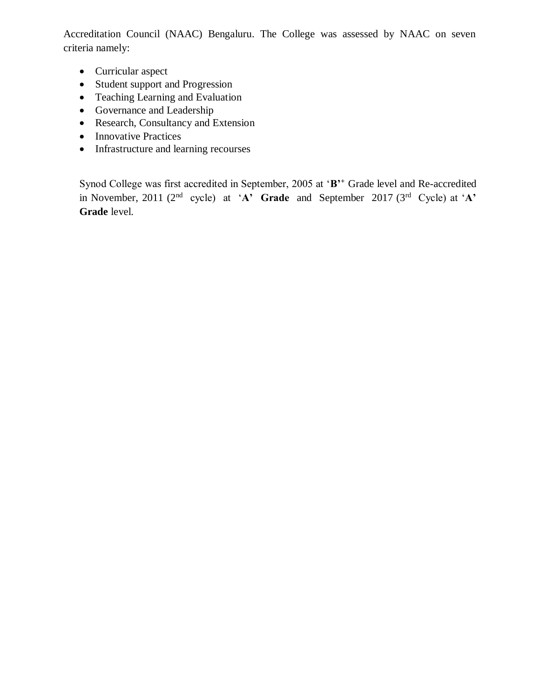Accreditation Council (NAAC) Bengaluru. The College was assessed by NAAC on seven criteria namely:

- Curricular aspect
- Student support and Progression
- Teaching Learning and Evaluation
- Governance and Leadership
- Research, Consultancy and Extension
- Innovative Practices
- Infrastructure and learning recourses

Synod College was first accredited in September, 2005 at '**B'<sup>+</sup>** Grade level and Re-accredited in November, 2011 ( $2<sup>nd</sup>$  cycle) at '**A' Grade** and September 2017 ( $3<sup>rd</sup>$  Cycle) at '**A' Grade** level.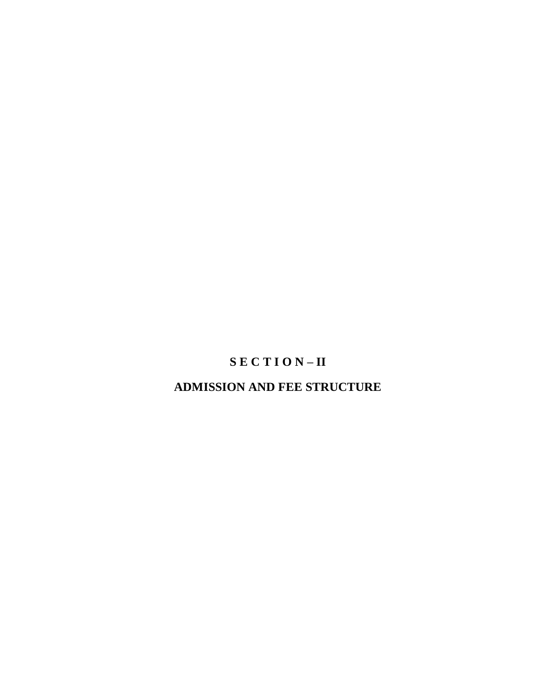## **S E C T I O N – II**

## **ADMISSION AND FEE STRUCTURE**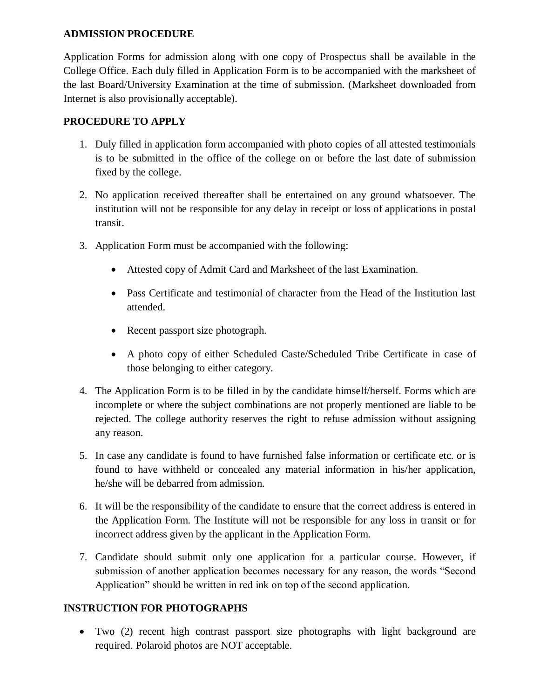#### **ADMISSION PROCEDURE**

Application Forms for admission along with one copy of Prospectus shall be available in the College Office. Each duly filled in Application Form is to be accompanied with the marksheet of the last Board/University Examination at the time of submission. (Marksheet downloaded from Internet is also provisionally acceptable).

#### **PROCEDURE TO APPLY**

- 1. Duly filled in application form accompanied with photo copies of all attested testimonials is to be submitted in the office of the college on or before the last date of submission fixed by the college.
- 2. No application received thereafter shall be entertained on any ground whatsoever. The institution will not be responsible for any delay in receipt or loss of applications in postal transit.
- 3. Application Form must be accompanied with the following:
	- Attested copy of Admit Card and Marksheet of the last Examination.
	- Pass Certificate and testimonial of character from the Head of the Institution last attended.
	- Recent passport size photograph.
	- A photo copy of either Scheduled Caste/Scheduled Tribe Certificate in case of those belonging to either category.
- 4. The Application Form is to be filled in by the candidate himself/herself. Forms which are incomplete or where the subject combinations are not properly mentioned are liable to be rejected. The college authority reserves the right to refuse admission without assigning any reason.
- 5. In case any candidate is found to have furnished false information or certificate etc. or is found to have withheld or concealed any material information in his/her application, he/she will be debarred from admission.
- 6. It will be the responsibility of the candidate to ensure that the correct address is entered in the Application Form. The Institute will not be responsible for any loss in transit or for incorrect address given by the applicant in the Application Form.
- 7. Candidate should submit only one application for a particular course. However, if submission of another application becomes necessary for any reason, the words "Second Application" should be written in red ink on top of the second application.

#### **INSTRUCTION FOR PHOTOGRAPHS**

 Two (2) recent high contrast passport size photographs with light background are required. Polaroid photos are NOT acceptable.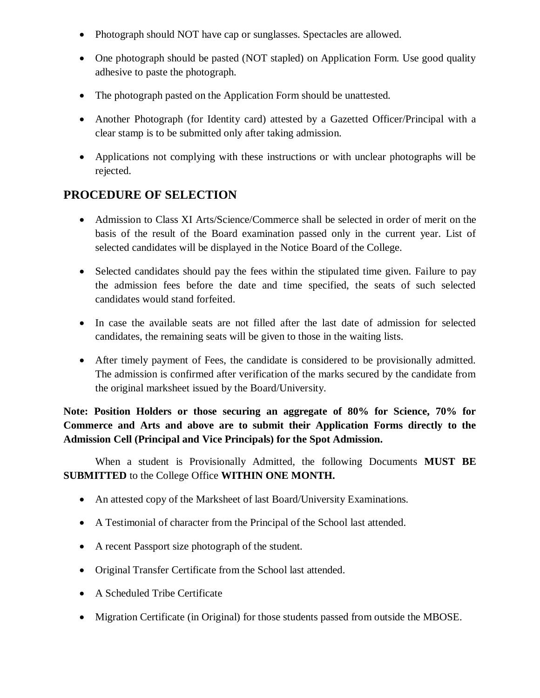- Photograph should NOT have cap or sunglasses. Spectacles are allowed.
- One photograph should be pasted (NOT stapled) on Application Form. Use good quality adhesive to paste the photograph.
- The photograph pasted on the Application Form should be unattested.
- Another Photograph (for Identity card) attested by a Gazetted Officer/Principal with a clear stamp is to be submitted only after taking admission.
- Applications not complying with these instructions or with unclear photographs will be rejected.

## **PROCEDURE OF SELECTION**

- Admission to Class XI Arts/Science/Commerce shall be selected in order of merit on the basis of the result of the Board examination passed only in the current year. List of selected candidates will be displayed in the Notice Board of the College.
- Selected candidates should pay the fees within the stipulated time given. Failure to pay the admission fees before the date and time specified, the seats of such selected candidates would stand forfeited.
- In case the available seats are not filled after the last date of admission for selected candidates, the remaining seats will be given to those in the waiting lists.
- After timely payment of Fees, the candidate is considered to be provisionally admitted. The admission is confirmed after verification of the marks secured by the candidate from the original marksheet issued by the Board/University.

**Note: Position Holders or those securing an aggregate of 80% for Science, 70% for Commerce and Arts and above are to submit their Application Forms directly to the Admission Cell (Principal and Vice Principals) for the Spot Admission.** 

When a student is Provisionally Admitted, the following Documents **MUST BE SUBMITTED** to the College Office **WITHIN ONE MONTH.** 

- An attested copy of the Marksheet of last Board/University Examinations.
- A Testimonial of character from the Principal of the School last attended.
- A recent Passport size photograph of the student.
- Original Transfer Certificate from the School last attended.
- A Scheduled Tribe Certificate
- Migration Certificate (in Original) for those students passed from outside the MBOSE.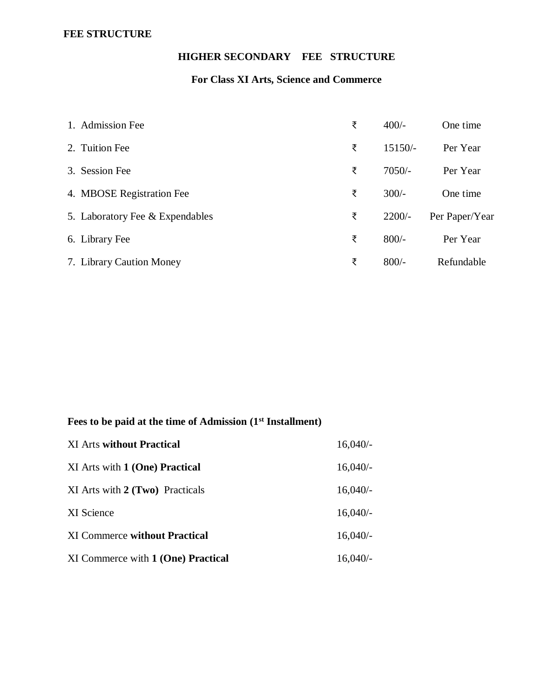#### **FEE STRUCTURE**

## **HIGHER SECONDARY FEE STRUCTURE**

## **For Class XI Arts, Science and Commerce**

| 1. Admission Fee                | ₹ | $400/-$   | One time       |
|---------------------------------|---|-----------|----------------|
| 2. Tuition Fee                  | ₹ | $15150/-$ | Per Year       |
| 3. Session Fee                  | ₹ | $7050/-$  | Per Year       |
| 4. MBOSE Registration Fee       | ₹ | $300/-$   | One time       |
| 5. Laboratory Fee & Expendables | ₹ | $2200/-$  | Per Paper/Year |
| 6. Library Fee                  | ₹ | $800/-$   | Per Year       |
| 7. Library Caution Money        | ₹ | $800/-$   | Refundable     |

#### **Fees to be paid at the time of Admission (1st Installment)**

| <b>XI Arts without Practical</b>    | $16,040/-$ |
|-------------------------------------|------------|
| XI Arts with 1 (One) Practical      | $16,040/-$ |
| $XI$ Arts with $2$ (Two) Practicals | $16,040/-$ |
| XI Science                          | $16,040/-$ |
| XI Commerce without Practical       | $16,040/-$ |
| XI Commerce with 1 (One) Practical  | $16,040/-$ |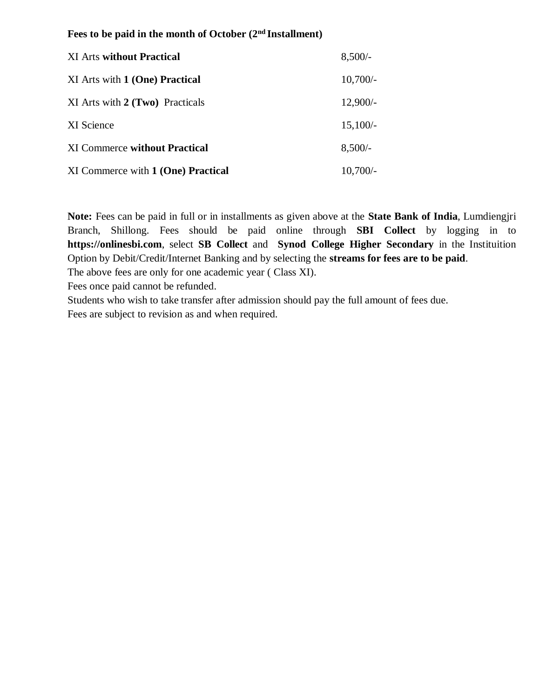#### **Fees to be paid in the month of October (2nd Installment)**

| <b>XI Arts without Practical</b>     | 8,500/     |
|--------------------------------------|------------|
| XI Arts with 1 (One) Practical       | $10,700/-$ |
| XI Arts with 2 (Two) Practicals      | $12,900/-$ |
| XI Science                           | $15,100/-$ |
| <b>XI Commerce without Practical</b> | $8,500/-$  |
| XI Commerce with 1 (One) Practical   | $10,700/-$ |

**Note:** Fees can be paid in full or in installments as given above at the **State Bank of India**, Lumdiengjri Branch, Shillong. Fees should be paid online through **SBI Collect** by logging in to **https://onlinesbi.com**, select **SB Collect** and **Synod College Higher Secondary** in the Instituition Option by Debit/Credit/Internet Banking and by selecting the **streams for fees are to be paid**.

The above fees are only for one academic year ( Class XI).

Fees once paid cannot be refunded.

Students who wish to take transfer after admission should pay the full amount of fees due. Fees are subject to revision as and when required.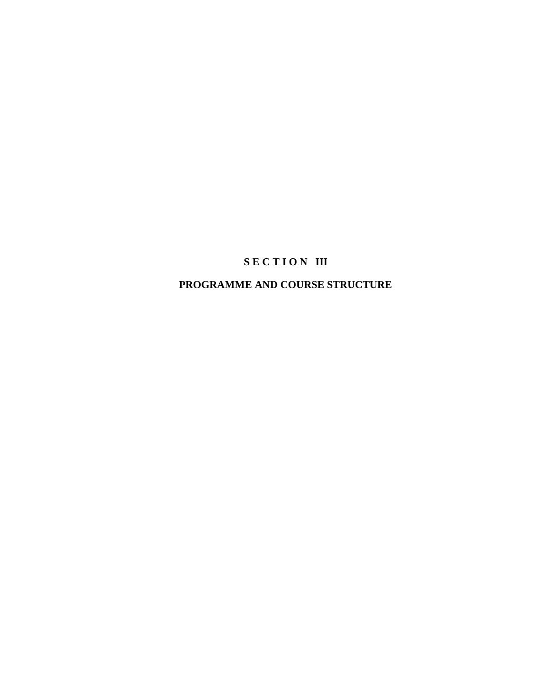## **S E C T I O N III**

### **PROGRAMME AND COURSE STRUCTURE**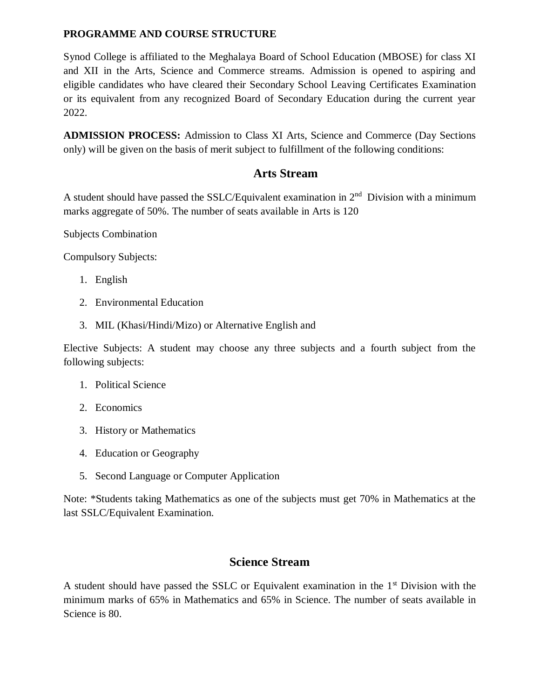#### **PROGRAMME AND COURSE STRUCTURE**

Synod College is affiliated to the Meghalaya Board of School Education (MBOSE) for class XI and XII in the Arts, Science and Commerce streams. Admission is opened to aspiring and eligible candidates who have cleared their Secondary School Leaving Certificates Examination or its equivalent from any recognized Board of Secondary Education during the current year 2022.

**ADMISSION PROCESS:** Admission to Class XI Arts, Science and Commerce (Day Sections only) will be given on the basis of merit subject to fulfillment of the following conditions:

#### **Arts Stream**

A student should have passed the SSLC/Equivalent examination in  $2<sup>nd</sup>$  Division with a minimum marks aggregate of 50%. The number of seats available in Arts is 120

Subjects Combination

Compulsory Subjects:

- 1. English
- 2. Environmental Education
- 3. MIL (Khasi/Hindi/Mizo) or Alternative English and

Elective Subjects: A student may choose any three subjects and a fourth subject from the following subjects:

- 1. Political Science
- 2. Economics
- 3. History or Mathematics
- 4. Education or Geography
- 5. Second Language or Computer Application

Note: \*Students taking Mathematics as one of the subjects must get 70% in Mathematics at the last SSLC/Equivalent Examination.

#### **Science Stream**

A student should have passed the SSLC or Equivalent examination in the  $1<sup>st</sup>$  Division with the minimum marks of 65% in Mathematics and 65% in Science. The number of seats available in Science is 80.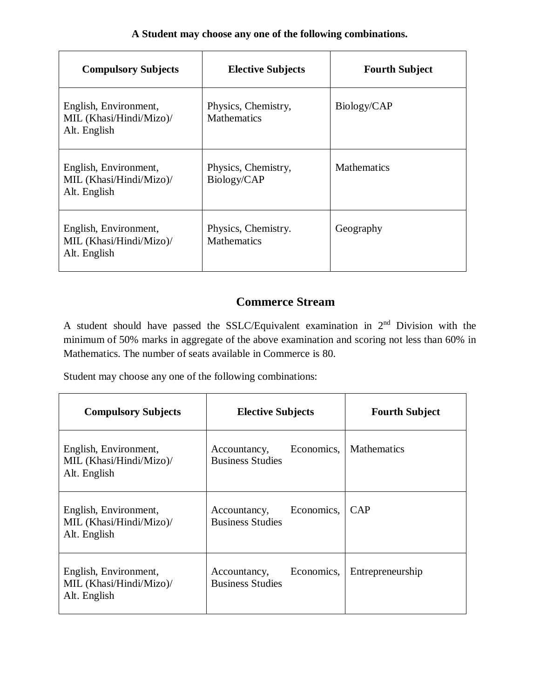| <b>Compulsory Subjects</b>                                       | <b>Elective Subjects</b>                  | <b>Fourth Subject</b> |
|------------------------------------------------------------------|-------------------------------------------|-----------------------|
| English, Environment,<br>MIL (Khasi/Hindi/Mizo)/<br>Alt. English | Physics, Chemistry,<br><b>Mathematics</b> | Biology/CAP           |
| English, Environment,<br>MIL (Khasi/Hindi/Mizo)/<br>Alt. English | Physics, Chemistry,<br>Biology/CAP        | <b>Mathematics</b>    |
| English, Environment,<br>MIL (Khasi/Hindi/Mizo)/<br>Alt. English | Physics, Chemistry.<br><b>Mathematics</b> | Geography             |

#### **A Student may choose any one of the following combinations.**

## **Commerce Stream**

A student should have passed the SSLC/Equivalent examination in  $2<sup>nd</sup>$  Division with the minimum of 50% marks in aggregate of the above examination and scoring not less than 60% in Mathematics. The number of seats available in Commerce is 80.

Student may choose any one of the following combinations:

| <b>Compulsory Subjects</b>                                       | <b>Elective Subjects</b>                |            | <b>Fourth Subject</b> |  |
|------------------------------------------------------------------|-----------------------------------------|------------|-----------------------|--|
| English, Environment,<br>MIL (Khasi/Hindi/Mizo)/<br>Alt. English | Accountancy,<br><b>Business Studies</b> | Economics, | <b>Mathematics</b>    |  |
| English, Environment,<br>MIL (Khasi/Hindi/Mizo)/<br>Alt. English | Accountancy,<br><b>Business Studies</b> | Economics, | <b>CAP</b>            |  |
| English, Environment,<br>MIL (Khasi/Hindi/Mizo)/<br>Alt. English | Accountancy,<br><b>Business Studies</b> | Economics, | Entrepreneurship      |  |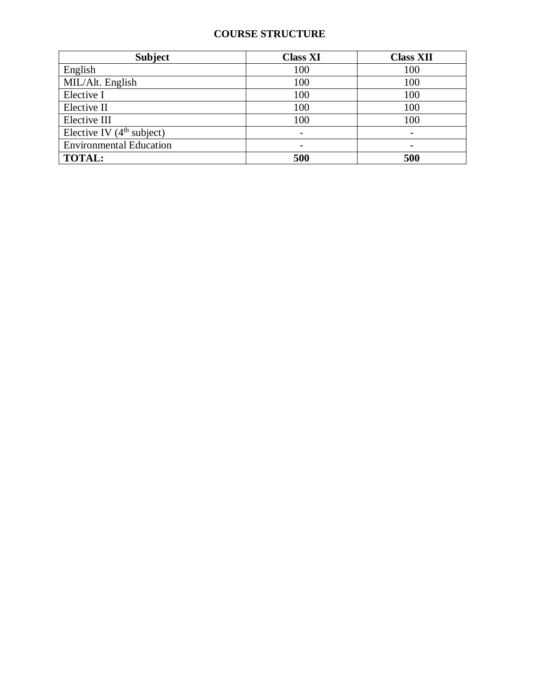#### **COURSE STRUCTURE**

| <b>Subject</b>                 | <b>Class XI</b> | <b>Class XII</b>         |
|--------------------------------|-----------------|--------------------------|
| English                        | 100             | 100                      |
| MIL/Alt. English               | 100             | 100                      |
| Elective I                     | 100             | 100                      |
| Elective II                    | 100             | 100                      |
| Elective III                   | 100             | 100                      |
| Elective IV $(4th$ subject)    | $\qquad \qquad$ | $\overline{\phantom{a}}$ |
| <b>Environmental Education</b> | -               | $\overline{\phantom{0}}$ |
| <b>TOTAL:</b>                  | 500             | 500                      |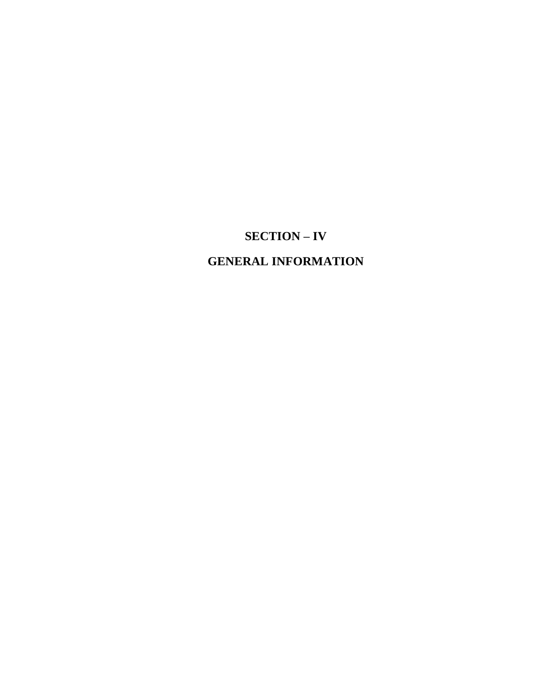## **SECTION – IV**

## **GENERAL INFORMATION**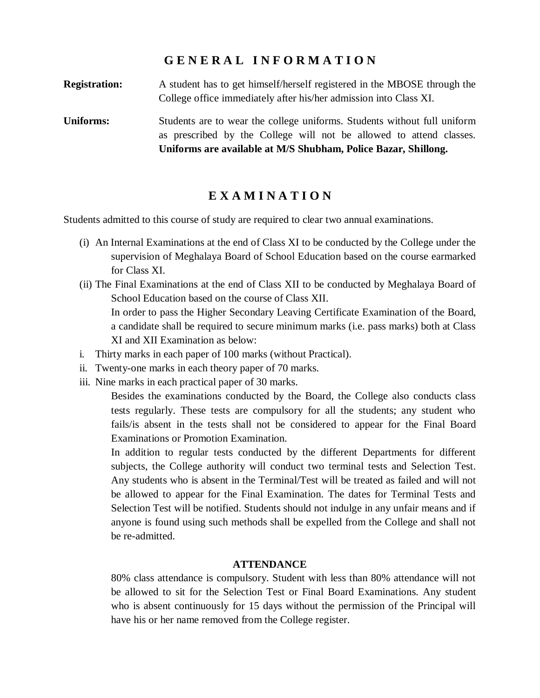## **G E N E R A L I N F O R M A T I O N**

| <b>Registration:</b> | A student has to get himself/herself registered in the MBOSE through the<br>College office immediately after his/her admission into Class XI.   |
|----------------------|-------------------------------------------------------------------------------------------------------------------------------------------------|
| <b>Uniforms:</b>     | Students are to wear the college uniforms. Students without full uniform<br>as prescribed by the College will not be allowed to attend classes. |
|                      | Uniforms are available at M/S Shubham, Police Bazar, Shillong.                                                                                  |

## **E X A M I N A T I O N**

Students admitted to this course of study are required to clear two annual examinations.

- (i) An Internal Examinations at the end of Class XI to be conducted by the College under the supervision of Meghalaya Board of School Education based on the course earmarked for Class XI.
- (ii) The Final Examinations at the end of Class XII to be conducted by Meghalaya Board of School Education based on the course of Class XII.

In order to pass the Higher Secondary Leaving Certificate Examination of the Board, a candidate shall be required to secure minimum marks (i.e. pass marks) both at Class XI and XII Examination as below:

- i. Thirty marks in each paper of 100 marks (without Practical).
- ii. Twenty-one marks in each theory paper of 70 marks.
- iii. Nine marks in each practical paper of 30 marks.

Besides the examinations conducted by the Board, the College also conducts class tests regularly. These tests are compulsory for all the students; any student who fails/is absent in the tests shall not be considered to appear for the Final Board Examinations or Promotion Examination.

In addition to regular tests conducted by the different Departments for different subjects, the College authority will conduct two terminal tests and Selection Test. Any students who is absent in the Terminal/Test will be treated as failed and will not be allowed to appear for the Final Examination. The dates for Terminal Tests and Selection Test will be notified. Students should not indulge in any unfair means and if anyone is found using such methods shall be expelled from the College and shall not be re-admitted.

#### **ATTENDANCE**

80% class attendance is compulsory. Student with less than 80% attendance will not be allowed to sit for the Selection Test or Final Board Examinations. Any student who is absent continuously for 15 days without the permission of the Principal will have his or her name removed from the College register.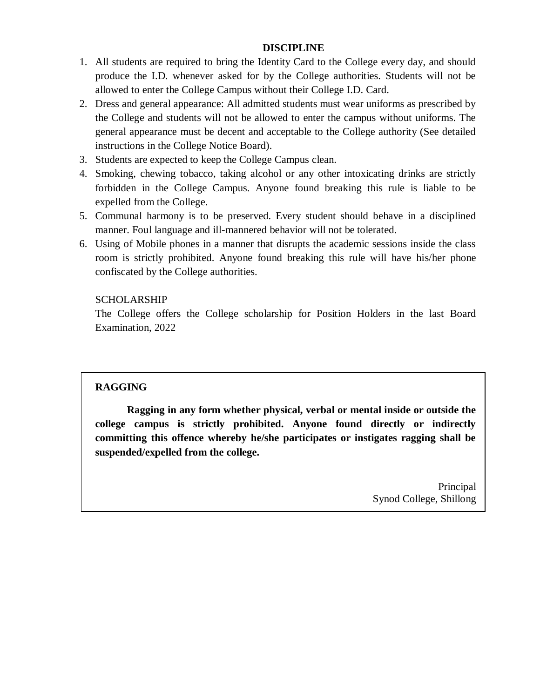#### **DISCIPLINE**

- 1. All students are required to bring the Identity Card to the College every day, and should produce the I.D. whenever asked for by the College authorities. Students will not be allowed to enter the College Campus without their College I.D. Card.
- 2. Dress and general appearance: All admitted students must wear uniforms as prescribed by the College and students will not be allowed to enter the campus without uniforms. The general appearance must be decent and acceptable to the College authority (See detailed instructions in the College Notice Board).
- 3. Students are expected to keep the College Campus clean.
- 4. Smoking, chewing tobacco, taking alcohol or any other intoxicating drinks are strictly forbidden in the College Campus. Anyone found breaking this rule is liable to be expelled from the College.
- 5. Communal harmony is to be preserved. Every student should behave in a disciplined manner. Foul language and ill-mannered behavior will not be tolerated.
- 6. Using of Mobile phones in a manner that disrupts the academic sessions inside the class room is strictly prohibited. Anyone found breaking this rule will have his/her phone confiscated by the College authorities.

#### SCHOLARSHIP

The College offers the College scholarship for Position Holders in the last Board Examination, 2022

#### **RAGGING**

**Ragging in any form whether physical, verbal or mental inside or outside the college campus is strictly prohibited. Anyone found directly or indirectly committing this offence whereby he/she participates or instigates ragging shall be suspended/expelled from the college.**

> Principal Synod College, Shillong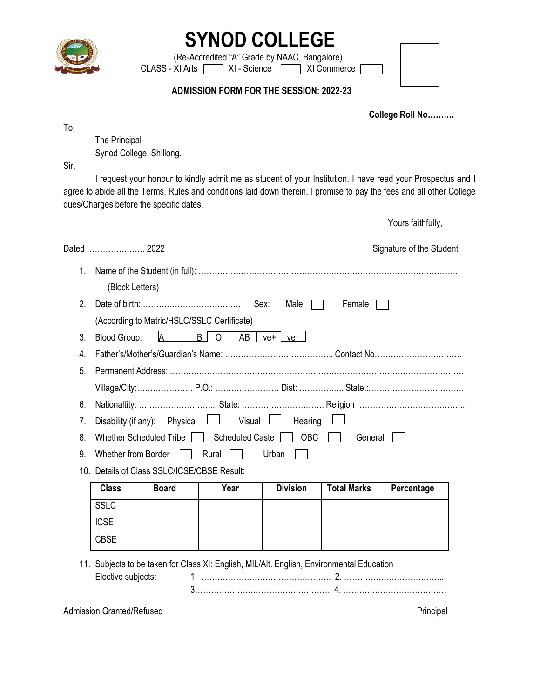

## **SYNOD COLLEGE**

 (Re-Accredited "A" Grade by NAAC, Bangalore) CLASS - XI Arts | XI - Science | XI Commerce |



#### **ADMISSION FORM FOR THE SESSION: 2022-23**

**College Roll No……….** 

Yours faithfully,

To,

The Principal Synod College, Shillong.

Sir,

I request your honour to kindly admit me as student of your Institution. I have read your Prospectus and I agree to abide all the Terms, Rules and conditions laid down therein. I promise to pay the fees and all other College dues/Charges before the specific dates.

|              | Dated  2022                                                      |                                                                                           |                    |                 |                    | Signature of the Student |
|--------------|------------------------------------------------------------------|-------------------------------------------------------------------------------------------|--------------------|-----------------|--------------------|--------------------------|
| 1.           |                                                                  |                                                                                           |                    |                 |                    |                          |
|              |                                                                  | (Block Letters)                                                                           |                    |                 |                    |                          |
| 2.           |                                                                  |                                                                                           |                    | Male            | Female             |                          |
|              |                                                                  | (According to Matric/HSLC/SSLC Certificate)                                               |                    |                 |                    |                          |
| 3.           | <b>Blood Group:</b>                                              | Α                                                                                         | B<br>$\circ$<br>AB | $ve+$<br>ve-    |                    |                          |
| $\mathbf{4}$ |                                                                  |                                                                                           |                    |                 |                    |                          |
| 5.           |                                                                  |                                                                                           |                    |                 |                    |                          |
|              |                                                                  |                                                                                           |                    |                 |                    |                          |
| 6.           |                                                                  |                                                                                           |                    |                 |                    |                          |
| 7.           | Visual $\Box$ Hearing<br>Disability (if any): Physical $\Box$    |                                                                                           |                    |                 |                    |                          |
| 8.           | Whether Scheduled Tribe Scheduled Caste<br><b>OBC</b><br>General |                                                                                           |                    |                 |                    |                          |
| 9.           | Whether from Border<br>Rural<br>Urban                            |                                                                                           |                    |                 |                    |                          |
|              | 10. Details of Class SSLC/ICSE/CBSE Result:                      |                                                                                           |                    |                 |                    |                          |
|              | <b>Class</b>                                                     | <b>Board</b>                                                                              | Year               | <b>Division</b> | <b>Total Marks</b> | Percentage               |
|              | <b>SSLC</b>                                                      |                                                                                           |                    |                 |                    |                          |
|              | <b>ICSE</b>                                                      |                                                                                           |                    |                 |                    |                          |
|              | <b>CBSE</b>                                                      |                                                                                           |                    |                 |                    |                          |
|              |                                                                  |                                                                                           |                    |                 |                    |                          |
|              |                                                                  |                                                                                           |                    |                 |                    |                          |
|              | Elective subjects:                                               | 11. Subjects to be taken for Class XI: English, MIL/Alt. English, Environmental Education |                    |                 |                    |                          |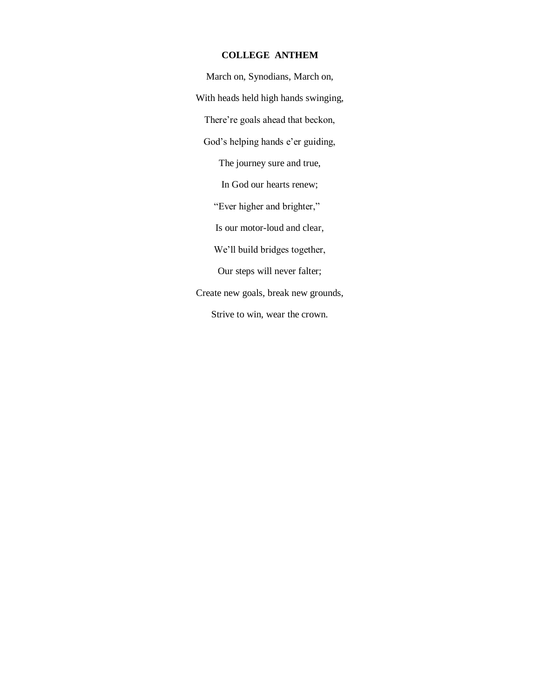#### **COLLEGE ANTHEM**

March on, Synodians, March on, With heads held high hands swinging, There're goals ahead that beckon, God's helping hands e'er guiding, The journey sure and true, In God our hearts renew; "Ever higher and brighter," Is our motor-loud and clear, We'll build bridges together, Our steps will never falter; Create new goals, break new grounds, Strive to win, wear the crown.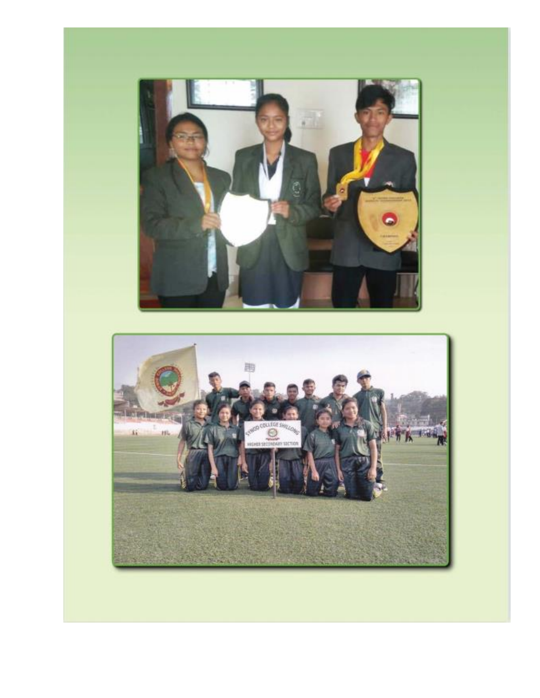